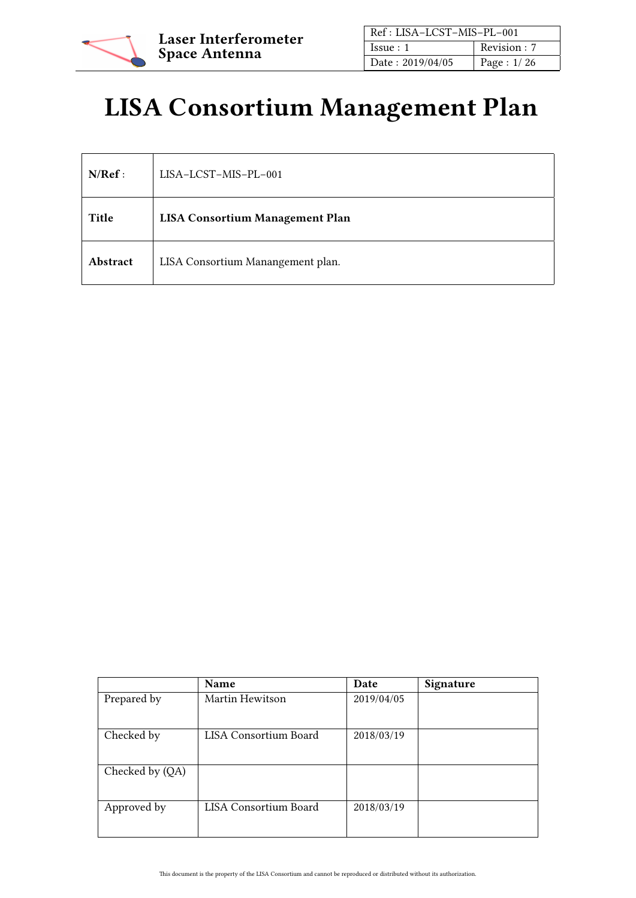

| Ref: LISA-LCST-MIS-PL-001 |               |
|---------------------------|---------------|
| Is sue: 1                 | Revision : 7  |
| Date: 2019/04/05          | Page : $1/26$ |

# LISA Consortium Management Plan

| N/Ref:   | LISA-LCST-MIS-PL-001                   |
|----------|----------------------------------------|
| Title    | <b>LISA Consortium Management Plan</b> |
| Abstract | LISA Consortium Manangement plan.      |

|                 | Name                  | Date       | Signature |
|-----------------|-----------------------|------------|-----------|
| Prepared by     | Martin Hewitson       | 2019/04/05 |           |
| Checked by      | LISA Consortium Board | 2018/03/19 |           |
| Checked by (QA) |                       |            |           |
| Approved by     | LISA Consortium Board | 2018/03/19 |           |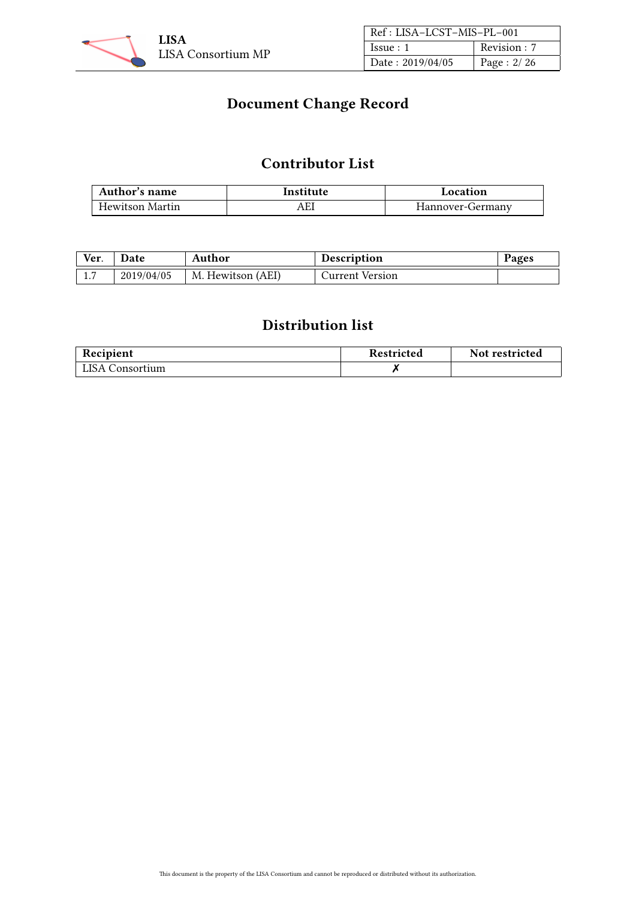

| Ref: LISA-LCST-MIS-PL-001 |              |  |
|---------------------------|--------------|--|
| Issue:1                   | Revision : 7 |  |
| Date: 2019/04/05          | Page: 2/26   |  |

# Document Change Record

# Contributor List

| Author's name   | Institute | Location         |
|-----------------|-----------|------------------|
| Hewitson Martin | AEI       | Hannover-Germany |

| Ver. | <b>Date</b> | Author            | <b>Description</b> | Pages |
|------|-------------|-------------------|--------------------|-------|
| 1.7  | 2019/04/05  | M. Hewitson (AEI) | Current Version    |       |

# Distribution list

| Recipient       | <b>Restricted</b> | Not restricted |
|-----------------|-------------------|----------------|
| LISA Consortium |                   |                |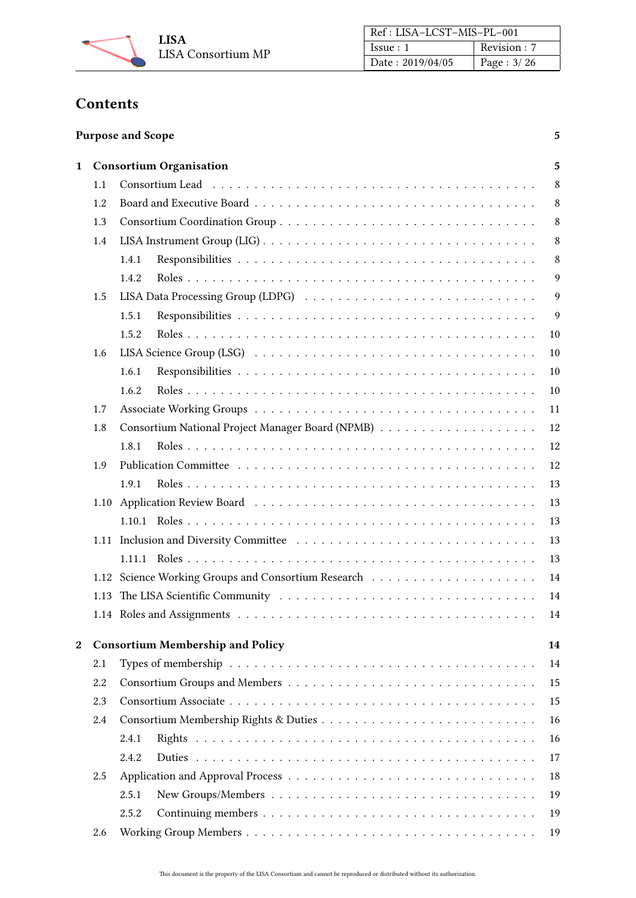

| Ref: LISA-LCST-MIS-PL-001 |               |  |
|---------------------------|---------------|--|
| Issue:1                   | Revision : 7  |  |
| Date: $2019/04/05$        | Page : $3/26$ |  |

# **Contents**

| <b>Purpose and Scope</b> |  |
|--------------------------|--|
|--------------------------|--|

| 1 |      | <b>Consortium Organisation</b>                                                                              |    |  |  |
|---|------|-------------------------------------------------------------------------------------------------------------|----|--|--|
|   | 1.1  |                                                                                                             |    |  |  |
|   | 1.2  |                                                                                                             | 8  |  |  |
|   | 1.3  |                                                                                                             | 8  |  |  |
|   | 1.4  |                                                                                                             | 8  |  |  |
|   |      | 1.4.1                                                                                                       | 8  |  |  |
|   |      | 1.4.2                                                                                                       | 9  |  |  |
|   | 1.5  |                                                                                                             | 9  |  |  |
|   |      | 1.5.1                                                                                                       | 9  |  |  |
|   |      | 1.5.2                                                                                                       | 10 |  |  |
|   | 1.6  |                                                                                                             | 10 |  |  |
|   |      | 1.6.1                                                                                                       | 10 |  |  |
|   |      | 1.6.2                                                                                                       | 10 |  |  |
|   | 1.7  |                                                                                                             | 11 |  |  |
|   | 1.8  |                                                                                                             | 12 |  |  |
|   |      | 1.8.1                                                                                                       | 12 |  |  |
|   | 1.9  |                                                                                                             | 12 |  |  |
|   |      | 1.9.1                                                                                                       | 13 |  |  |
|   | 1.10 |                                                                                                             | 13 |  |  |
|   |      |                                                                                                             | 13 |  |  |
|   |      |                                                                                                             | 13 |  |  |
|   |      |                                                                                                             | 13 |  |  |
|   | 1.12 |                                                                                                             | 14 |  |  |
|   | 1.13 |                                                                                                             | 14 |  |  |
|   |      |                                                                                                             | 14 |  |  |
|   |      |                                                                                                             |    |  |  |
| 2 |      | <b>Consortium Membership and Policy</b>                                                                     | 14 |  |  |
|   | 2.1  |                                                                                                             | 14 |  |  |
|   | 2.2  |                                                                                                             | 15 |  |  |
|   | 2.3  |                                                                                                             | 15 |  |  |
|   | 2.4  |                                                                                                             | 16 |  |  |
|   |      | 2.4.1                                                                                                       | 16 |  |  |
|   |      | 2.4.2                                                                                                       | 17 |  |  |
|   | 2.5  |                                                                                                             | 18 |  |  |
|   |      | New Groups/Members $\dots \dots \dots \dots \dots \dots \dots \dots \dots \dots \dots \dots \dots$<br>2.5.1 | 19 |  |  |
|   |      | 2.5.2                                                                                                       | 19 |  |  |
|   | 2.6  |                                                                                                             | 19 |  |  |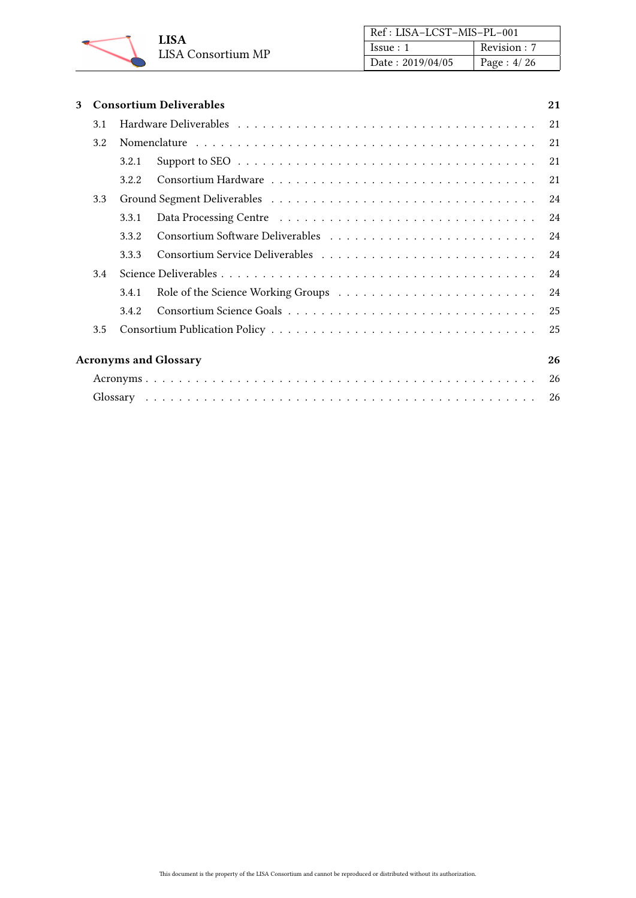

| Ref: LISA-LCST-MIS-PL-001 |               |  |
|---------------------------|---------------|--|
| Issue:1                   | Revision: 7   |  |
| Date: 2019/04/05          | Page : $4/26$ |  |

| 3 |     | <b>Consortium Deliverables</b> |                              |    |  |  |
|---|-----|--------------------------------|------------------------------|----|--|--|
|   | 3.1 |                                |                              |    |  |  |
|   | 3.2 |                                |                              | 21 |  |  |
|   |     | 3.2.1                          |                              | 21 |  |  |
|   |     | 3.2.2                          |                              | 21 |  |  |
|   | 3.3 |                                |                              | 24 |  |  |
|   |     | 3.3.1                          |                              | 24 |  |  |
|   |     | 3.3.2                          |                              | 24 |  |  |
|   |     | 3.3.3                          |                              | 24 |  |  |
|   | 3.4 |                                |                              | 24 |  |  |
|   |     | 3.4.1                          |                              | 24 |  |  |
|   |     | 3.4.2                          |                              | 25 |  |  |
|   | 3.5 |                                |                              | 25 |  |  |
|   |     |                                | <b>Acronyms and Glossary</b> | 26 |  |  |
|   | 26  |                                |                              |    |  |  |
|   |     |                                |                              |    |  |  |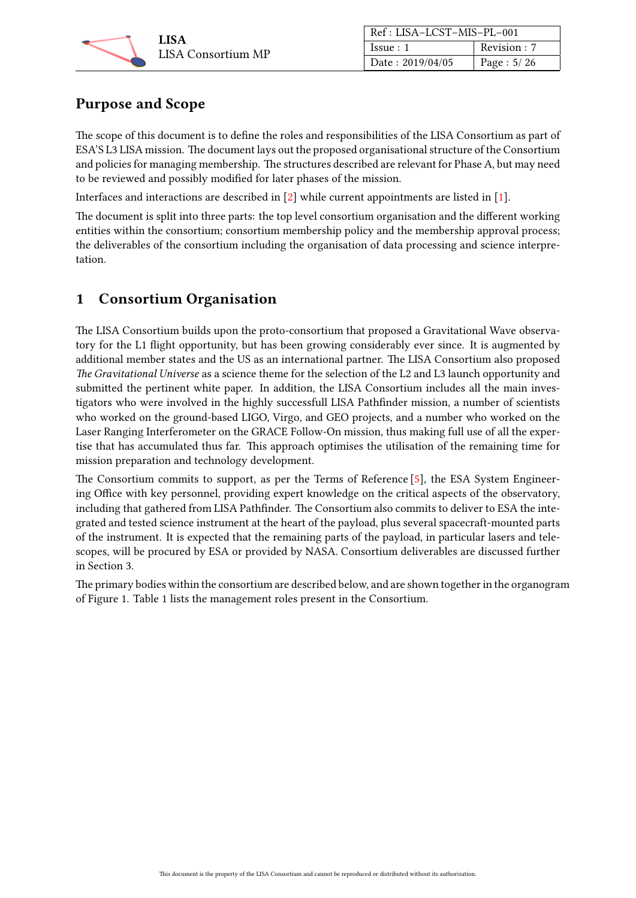

| Ref: LISA-LCST-MIS-PL-001 |               |
|---------------------------|---------------|
| Issue:1                   | Revision : 7  |
| Date: 2019/04/05          | Page : $5/26$ |

# <span id="page-4-0"></span>Purpose and Scope

The scope of this document is to define the roles and responsibilities of the LISA Consortium as part of ESA'S L3 LISA mission. The document lays out the proposed organisational structure of the Consortium and policies for managing membership. The structures described are relevant for Phase A, but may need to be reviewed and possibly modified for later phases of the mission.

Interfaces and interactions are described in [\[2\]](#page-25-4) while current appointments are listed in [\[1\]](#page-25-5).

The document is split into three parts: the top level consortium organisation and the different working entities within the consortium; consortium membership policy and the membership approval process; the deliverables of the consortium including the organisation of data processing and science interpretation.

# <span id="page-4-1"></span>1 Consortium Organisation

The LISA Consortium builds upon the proto-consortium that proposed a Gravitational Wave observatory for the L1 flight opportunity, but has been growing considerably ever since. It is augmented by additional member states and the US as an international partner. The LISA Consortium also proposed The Gravitational Universe as a science theme for the selection of the L2 and L3 launch opportunity and submitted the pertinent white paper. In addition, the LISA Consortium includes all the main investigators who were involved in the highly successfull LISA Pathfinder mission, a number of scientists who worked on the ground-based LIGO, Virgo, and GEO projects, and a number who worked on the Laser Ranging Interferometer on the GRACE Follow-On mission, thus making full use of all the expertise that has accumulated thus far. This approach optimises the utilisation of the remaining time for mission preparation and technology development.

The Consortium commits to support, as per the Terms of Reference [\[5\]](#page-25-6), the ESA System Engineering Office with key personnel, providing expert knowledge on the critical aspects of the observatory, including that gathered from LISA Pathfinder. The Consortium also commits to deliver to ESA the integrated and tested science instrument at the heart of the payload, plus several spacecraft-mounted parts of the instrument. It is expected that the remaining parts of the payload, in particular lasers and telescopes, will be procured by ESA or provided by NASA. Consortium deliverables are discussed further in Section [3.](#page-20-0)

The primary bodies within the consortium are described below, and are shown together in the organogram of Figure [1.](#page-5-0) Table [1](#page-6-0) lists the management roles present in the Consortium.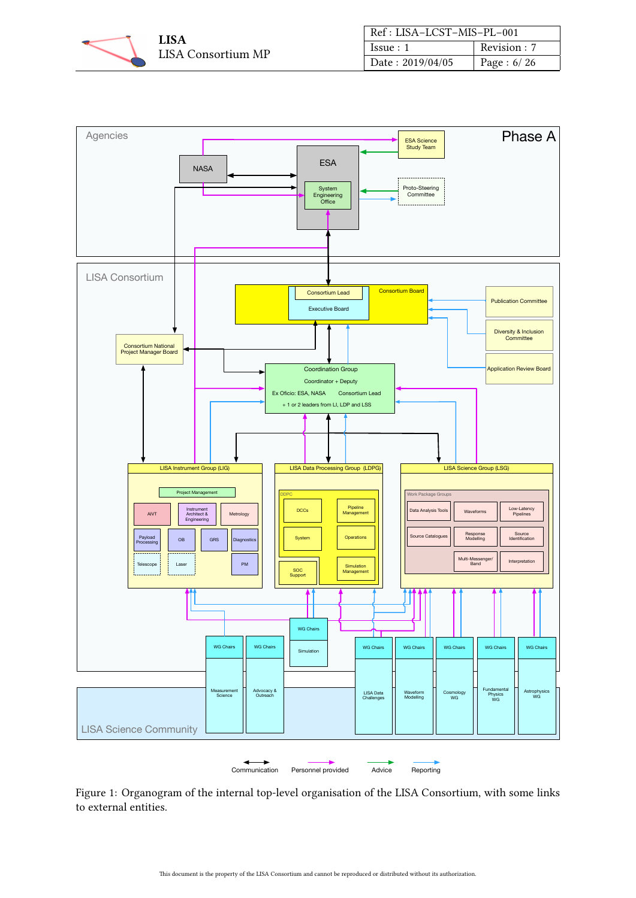

| Ref: LISA-LCST-MIS-PL-001 |               |
|---------------------------|---------------|
| Issue:1                   | Revision: 7   |
| Date: 2019/04/05          | Page : $6/26$ |

<span id="page-5-0"></span>

Figure 1: Organogram of the internal top-level organisation of the LISA Consortium, with some links to external entities.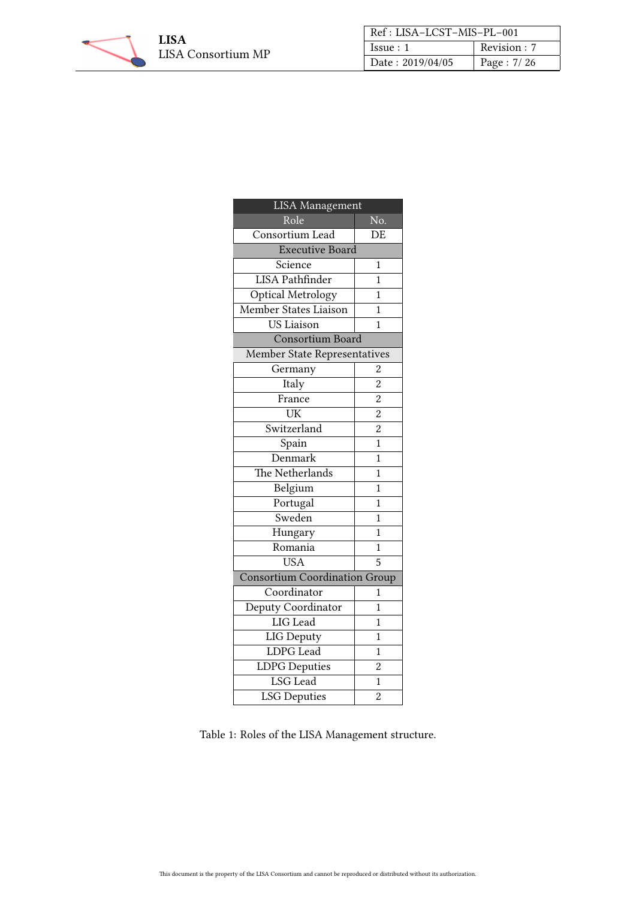

| Ref: LISA-LCST-MIS-PL-001 |               |
|---------------------------|---------------|
| Issue:1                   | Revision : 7  |
| Date: 2019/04/05          | Page : $7/26$ |

<span id="page-6-0"></span>

| <b>LISA</b> Management               |                |  |
|--------------------------------------|----------------|--|
| Role                                 | No.            |  |
| Consortium Lead                      | DE             |  |
| <b>Executive Board</b>               |                |  |
| Science                              | 1              |  |
| <b>LISA Pathfinder</b>               | $\overline{1}$ |  |
| Optical Metrology                    | $\mathbf 1$    |  |
| Member States Liaison                | $\mathbf{1}$   |  |
| US Liaison                           | 1              |  |
| Consortium Board                     |                |  |
| <b>Member State Representatives</b>  |                |  |
| Germany                              | 2              |  |
| Italy                                | $\overline{2}$ |  |
| France                               | $\overline{c}$ |  |
| UK                                   | $\overline{2}$ |  |
| Switzerland                          | $\overline{2}$ |  |
| Spain                                | $\mathbf{1}$   |  |
| Denmark                              | $\mathbf{1}$   |  |
| The Netherlands                      | $\mathbf{1}$   |  |
| Belgium                              | $\overline{1}$ |  |
| Portugal                             | $\mathbf{1}$   |  |
| Sweden                               | 1              |  |
| Hungary                              | $\mathbf{1}$   |  |
| Romania                              | 1              |  |
| <b>USA</b>                           | $\overline{5}$ |  |
| <b>Consortium Coordination Group</b> |                |  |
| Coordinator                          | 1              |  |
| Deputy Coordinator                   | $\mathbf{1}$   |  |
| LIG Lead                             | $\mathbf 1$    |  |
| <b>LIG Deputy</b>                    | $\mathbf{1}$   |  |
| LDPG Lead                            | $\mathbf{1}$   |  |
| <b>LDPG</b> Deputies                 | $\overline{2}$ |  |
| LSG Lead                             | $\mathbf{1}$   |  |
| <b>LSG Deputies</b>                  | $\overline{c}$ |  |

Table 1: Roles of the LISA Management structure.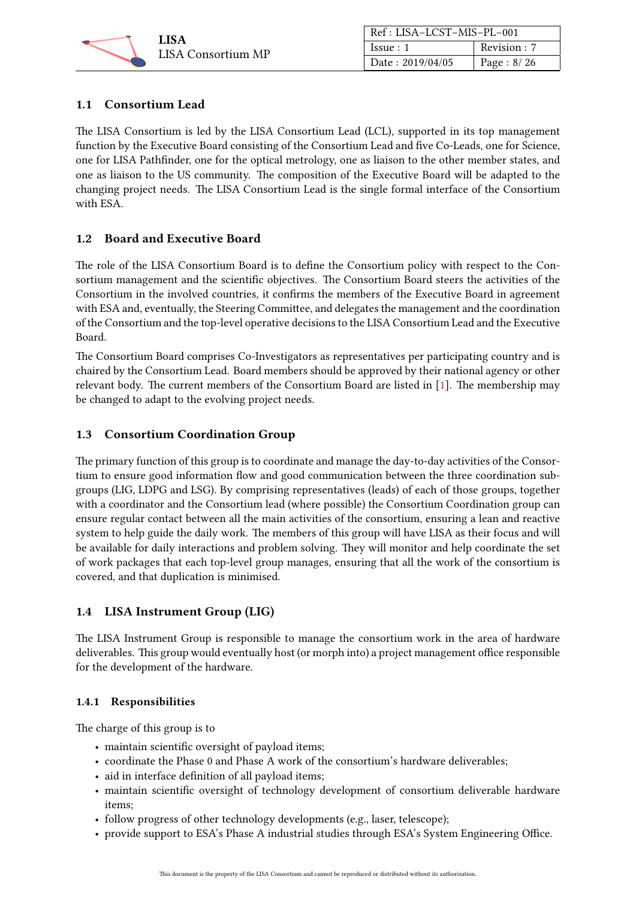

| Ref: LISA-LCST-MIS-PL-001 |               |
|---------------------------|---------------|
| Issue:1                   | Revision : 7  |
| Date: 2019/04/05          | Page : $8/26$ |

# <span id="page-7-0"></span>1.1 Consortium Lead

The LISA Consortium is led by the LISA Consortium Lead (LCL), supported in its top management function by the Executive Board consisting of the Consortium Lead and five Co-Leads, one for Science, one for LISA Pathfinder, one for the optical metrology, one as liaison to the other member states, and one as liaison to the US community. The composition of the Executive Board will be adapted to the changing project needs. The LISA Consortium Lead is the single formal interface of the Consortium with ESA.

# <span id="page-7-1"></span>1.2 Board and Executive Board

The role of the LISA Consortium Board is to define the Consortium policy with respect to the Consortium management and the scientific objectives. The Consortium Board steers the activities of the Consortium in the involved countries, it confirms the members of the Executive Board in agreement with ESA and, eventually, the Steering Committee, and delegates the management and the coordination of the Consortium and the top-level operative decisions to the LISA Consortium Lead and the Executive Board.

The Consortium Board comprises Co-Investigators as representatives per participating country and is chaired by the Consortium Lead. Board members should be approved by their national agency or other relevant body. The current members of the Consortium Board are listed in [\[1\]](#page-25-5). The membership may be changed to adapt to the evolving project needs.

# <span id="page-7-2"></span>1.3 Consortium Coordination Group

The primary function of this group is to coordinate and manage the day-to-day activities of the Consortium to ensure good information flow and good communication between the three coordination subgroups (LIG, LDPG and LSG). By comprising representatives (leads) of each of those groups, together with a coordinator and the Consortium lead (where possible) the Consortium Coordination group can ensure regular contact between all the main activities of the consortium, ensuring a lean and reactive system to help guide the daily work. The members of this group will have LISA as their focus and will be available for daily interactions and problem solving. They will monitor and help coordinate the set of work packages that each top-level group manages, ensuring that all the work of the consortium is covered, and that duplication is minimised.

# <span id="page-7-3"></span>1.4 LISA Instrument Group (LIG)

The LISA Instrument Group is responsible to manage the consortium work in the area of hardware deliverables. This group would eventually host (or morph into) a project management office responsible for the development of the hardware.

# <span id="page-7-4"></span>1.4.1 Responsibilities

The charge of this group is to

- maintain scientific oversight of payload items;
- coordinate the Phase 0 and Phase A work of the consortium's hardware deliverables;
- aid in interface definition of all payload items;
- maintain scientific oversight of technology development of consortium deliverable hardware items;
- follow progress of other technology developments (e.g., laser, telescope);
- provide support to ESA's Phase A industrial studies through ESA's System Engineering Office.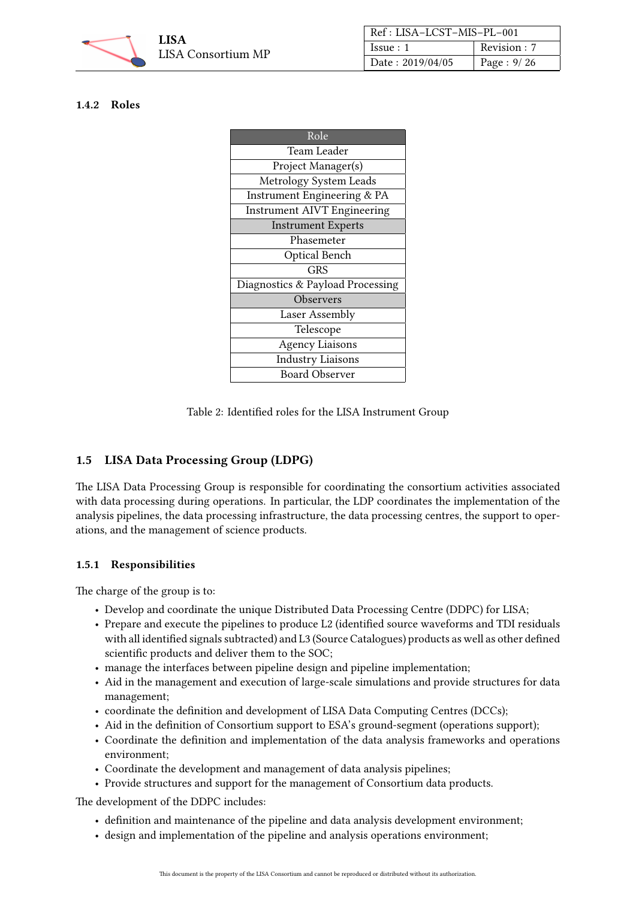

| Ref: LISA-LCST-MIS-PL-001 |              |
|---------------------------|--------------|
| Issue:1                   | Revision : 7 |
| Date: 2019/04/05          | Page: 9/26   |

#### <span id="page-8-0"></span>1.4.2 Roles

| Role                               |  |
|------------------------------------|--|
| Team Leader                        |  |
| Project Manager(s)                 |  |
| Metrology System Leads             |  |
| Instrument Engineering & PA        |  |
| <b>Instrument AIVT Engineering</b> |  |
| <b>Instrument Experts</b>          |  |
| Phasemeter                         |  |
| Optical Bench                      |  |
| GRS                                |  |
| Diagnostics & Payload Processing   |  |
| Observers                          |  |
| Laser Assembly                     |  |
| Telescope                          |  |
| <b>Agency Liaisons</b>             |  |
| <b>Industry Liaisons</b>           |  |
| <b>Board Observer</b>              |  |

Table 2: Identified roles for the LISA Instrument Group

# <span id="page-8-1"></span>1.5 LISA Data Processing Group (LDPG)

The LISA Data Processing Group is responsible for coordinating the consortium activities associated with data processing during operations. In particular, the LDP coordinates the implementation of the analysis pipelines, the data processing infrastructure, the data processing centres, the support to operations, and the management of science products.

#### <span id="page-8-2"></span>1.5.1 Responsibilities

The charge of the group is to:

- Develop and coordinate the unique Distributed Data Processing Centre (DDPC) for LISA;
- Prepare and execute the pipelines to produce L2 (identified source waveforms and TDI residuals with all identified signals subtracted) and L3 (Source Catalogues) products as well as other defined scientific products and deliver them to the SOC;
- manage the interfaces between pipeline design and pipeline implementation;
- Aid in the management and execution of large-scale simulations and provide structures for data management;
- coordinate the definition and development of LISA Data Computing Centres (DCCs);
- Aid in the definition of Consortium support to ESA's ground-segment (operations support);
- Coordinate the definition and implementation of the data analysis frameworks and operations environment;
- Coordinate the development and management of data analysis pipelines;
- Provide structures and support for the management of Consortium data products.

The development of the DDPC includes:

- definition and maintenance of the pipeline and data analysis development environment;
- design and implementation of the pipeline and analysis operations environment;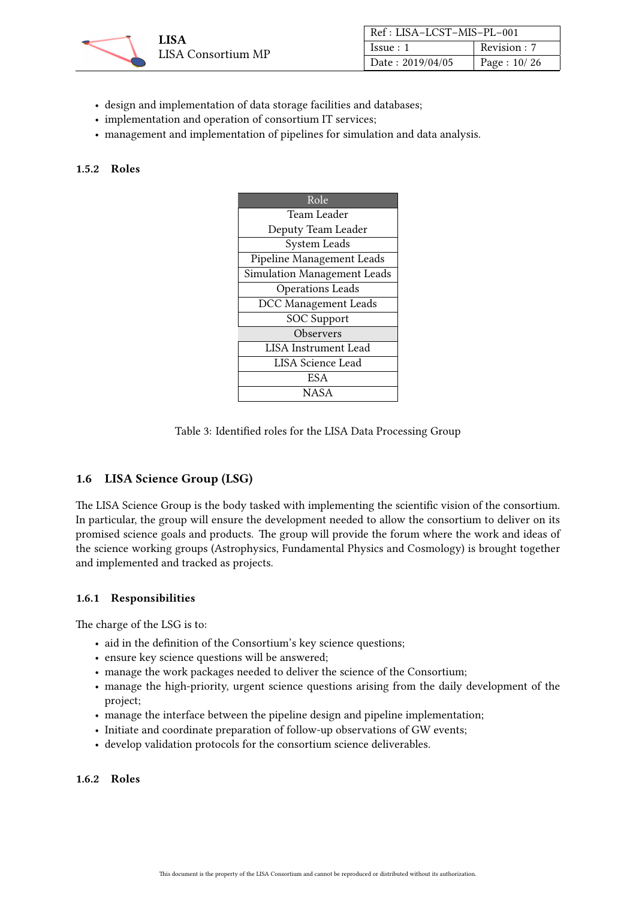

| Ref : LISA-LCST-MIS-PL-001 |             |
|----------------------------|-------------|
| Issue:1                    | Revision: 7 |
| Date: 2019/04/05           | Page: 10/26 |

- design and implementation of data storage facilities and databases;
- implementation and operation of consortium IT services;
- management and implementation of pipelines for simulation and data analysis.

#### <span id="page-9-0"></span>1.5.2 Roles

| Role                        |  |
|-----------------------------|--|
| Team Leader                 |  |
| Deputy Team Leader          |  |
| System Leads                |  |
| Pipeline Management Leads   |  |
| Simulation Management Leads |  |
| <b>Operations Leads</b>     |  |
| <b>DCC</b> Management Leads |  |
| <b>SOC</b> Support          |  |
| Observers                   |  |
| <b>LISA</b> Instrument Lead |  |
| <b>LISA Science Lead</b>    |  |
| ES A                        |  |
| NASA                        |  |

Table 3: Identified roles for the LISA Data Processing Group

# <span id="page-9-1"></span>1.6 LISA Science Group (LSG)

The LISA Science Group is the body tasked with implementing the scientific vision of the consortium. In particular, the group will ensure the development needed to allow the consortium to deliver on its promised science goals and products. The group will provide the forum where the work and ideas of the science working groups (Astrophysics, Fundamental Physics and Cosmology) is brought together and implemented and tracked as projects.

#### <span id="page-9-2"></span>1.6.1 Responsibilities

The charge of the LSG is to:

- aid in the definition of the Consortium's key science questions;
- ensure key science questions will be answered;
- manage the work packages needed to deliver the science of the Consortium;
- manage the high-priority, urgent science questions arising from the daily development of the project;
- manage the interface between the pipeline design and pipeline implementation;
- Initiate and coordinate preparation of follow-up observations of GW events;
- develop validation protocols for the consortium science deliverables.

#### <span id="page-9-3"></span>1.6.2 Roles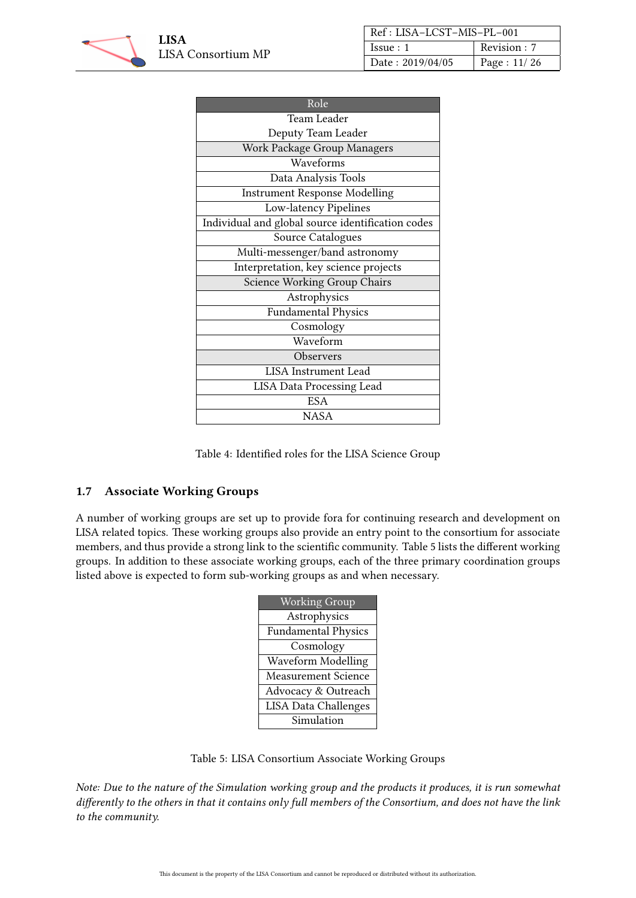

| Ref: LISA-LCST-MIS-PL-001 |              |
|---------------------------|--------------|
| Issue:1                   | Revision : 7 |
| Date: 2019/04/05          | Page: 11/26  |

| Role                                              |
|---------------------------------------------------|
| <b>Team Leader</b>                                |
| Deputy Team Leader                                |
| Work Package Group Managers                       |
| Waveforms                                         |
| Data Analysis Tools                               |
| <b>Instrument Response Modelling</b>              |
| Low-latency Pipelines                             |
| Individual and global source identification codes |
| Source Catalogues                                 |
| Multi-messenger/band astronomy                    |
| Interpretation, key science projects              |
| <b>Science Working Group Chairs</b>               |
| Astrophysics                                      |
| <b>Fundamental Physics</b>                        |
| Cosmology                                         |
| Waveform                                          |
| Observers                                         |
| <b>LISA</b> Instrument Lead                       |
| <b>LISA Data Processing Lead</b>                  |
| ESA                                               |
| <b>NASA</b>                                       |

Table 4: Identified roles for the LISA Science Group

# <span id="page-10-0"></span>1.7 Associate Working Groups

<span id="page-10-1"></span>A number of working groups are set up to provide fora for continuing research and development on LISA related topics. These working groups also provide an entry point to the consortium for associate members, and thus provide a strong link to the scientific community. Table [5](#page-10-1) lists the different working groups. In addition to these associate working groups, each of the three primary coordination groups listed above is expected to form sub-working groups as and when necessary.

| <b>Working Group</b>        |  |
|-----------------------------|--|
| Astrophysics                |  |
| <b>Fundamental Physics</b>  |  |
| Cosmology                   |  |
| Waveform Modelling          |  |
| <b>Measurement Science</b>  |  |
| Advocacy & Outreach         |  |
| <b>LISA Data Challenges</b> |  |
| Simulation                  |  |

Table 5: LISA Consortium Associate Working Groups

Note: Due to the nature of the Simulation working group and the products it produces, it is run somewhat differently to the others in that it contains only full members of the Consortium, and does not have the link to the community.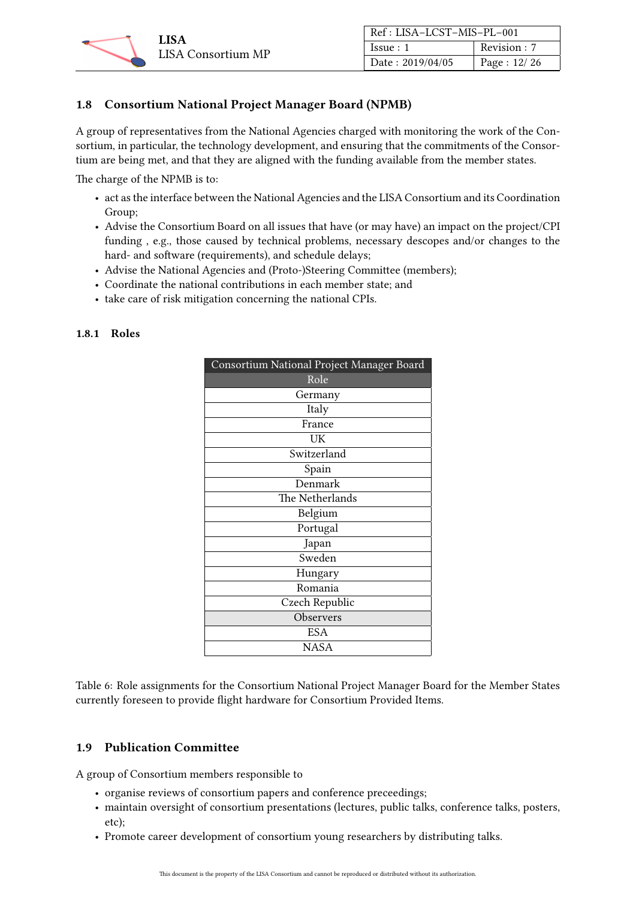

| Ref: LISA-LCST-MIS-PL-001 |             |
|---------------------------|-------------|
| Issue:1                   | Revision: 7 |
| Date: 2019/04/05          | Page: 12/26 |

# <span id="page-11-0"></span>1.8 Consortium National Project Manager Board (NPMB)

A group of representatives from the National Agencies charged with monitoring the work of the Consortium, in particular, the technology development, and ensuring that the commitments of the Consortium are being met, and that they are aligned with the funding available from the member states.

The charge of the NPMB is to:

- act as the interface between the National Agencies and the LISA Consortium and its Coordination Group;
- Advise the Consortium Board on all issues that have (or may have) an impact on the project/CPI funding , e.g., those caused by technical problems, necessary descopes and/or changes to the hard- and software (requirements), and schedule delays;
- Advise the National Agencies and (Proto-)Steering Committee (members);
- Coordinate the national contributions in each member state; and
- take care of risk mitigation concerning the national CPIs.

| Consortium National Project Manager Board |  |
|-------------------------------------------|--|
| Role                                      |  |
| Germany                                   |  |
| Italy                                     |  |
| France                                    |  |
| UK                                        |  |
| Switzerland                               |  |
| Spain                                     |  |
| Denmark                                   |  |
| The Netherlands                           |  |
| Belgium                                   |  |
| Portugal                                  |  |
| Japan                                     |  |
| Sweden                                    |  |
| Hungary                                   |  |
| Romania                                   |  |
| Czech Republic                            |  |
| Observers                                 |  |
| ESA                                       |  |
| <b>NASA</b>                               |  |
|                                           |  |

#### <span id="page-11-1"></span>1.8.1 Roles

Table 6: Role assignments for the Consortium National Project Manager Board for the Member States currently foreseen to provide flight hardware for Consortium Provided Items.

# <span id="page-11-2"></span>1.9 Publication Committee

A group of Consortium members responsible to

- organise reviews of consortium papers and conference preceedings;
- maintain oversight of consortium presentations (lectures, public talks, conference talks, posters, etc);
- Promote career development of consortium young researchers by distributing talks.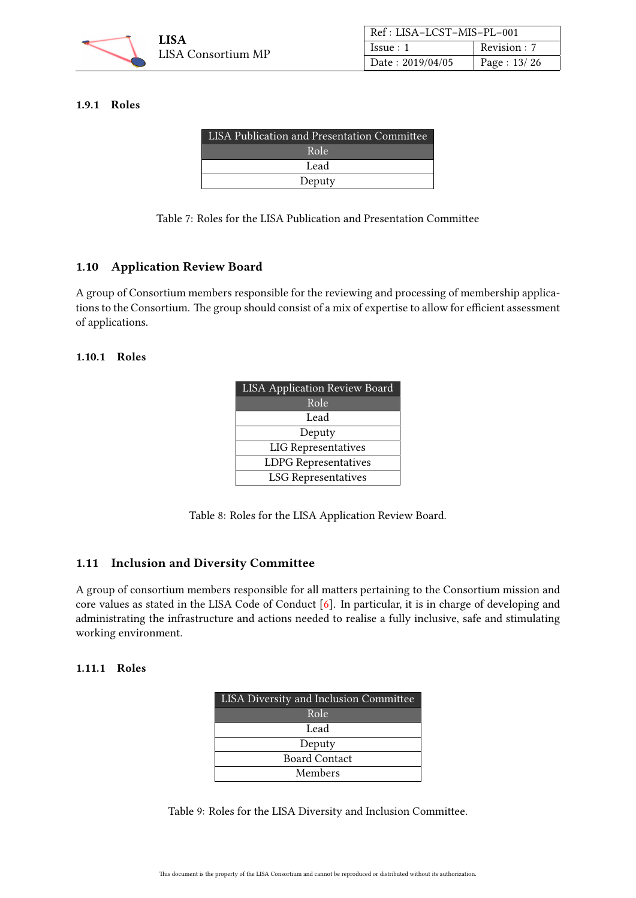

#### <span id="page-12-0"></span>1.9.1 Roles

| LISA Publication and Presentation Committee |  |
|---------------------------------------------|--|
| Role                                        |  |
| Lead                                        |  |
| Deputy                                      |  |

Table 7: Roles for the LISA Publication and Presentation Committee

# <span id="page-12-1"></span>1.10 Application Review Board

A group of Consortium members responsible for the reviewing and processing of membership applications to the Consortium. The group should consist of a mix of expertise to allow for efficient assessment of applications.

#### <span id="page-12-2"></span>1.10.1 Roles

| <b>LISA Application Review Board</b> |  |
|--------------------------------------|--|
| Role                                 |  |
| Lead                                 |  |
| Deputy                               |  |
| <b>LIG</b> Representatives           |  |
| <b>LDPG</b> Representatives          |  |
| <b>LSG</b> Representatives           |  |

Table 8: Roles for the LISA Application Review Board.

# <span id="page-12-3"></span>1.11 Inclusion and Diversity Committee

A group of consortium members responsible for all matters pertaining to the Consortium mission and core values as stated in the LISA Code of Conduct [\[6\]](#page-25-7). In particular, it is in charge of developing and administrating the infrastructure and actions needed to realise a fully inclusive, safe and stimulating working environment.

#### <span id="page-12-4"></span>1.11.1 Roles

| <b>LISA Diversity and Inclusion Committee</b> |  |
|-----------------------------------------------|--|
| Role                                          |  |
| Lead                                          |  |
| Deputy                                        |  |
| <b>Board Contact</b>                          |  |
| Members                                       |  |

Table 9: Roles for the LISA Diversity and Inclusion Committee.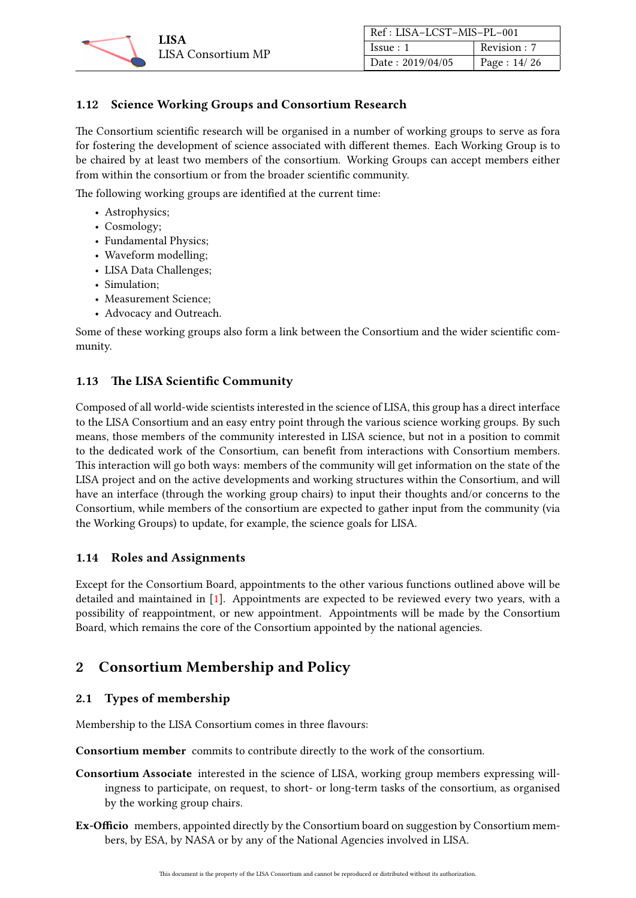

| Ref: LISA-LCST-MIS-PL-001 |             |
|---------------------------|-------------|
| Issue:1                   | Revision: 7 |
| Date: 2019/04/05          | Page: 14/26 |

# <span id="page-13-0"></span>1.12 Science Working Groups and Consortium Research

The Consortium scientific research will be organised in a number of working groups to serve as fora for fostering the development of science associated with different themes. Each Working Group is to be chaired by at least two members of the consortium. Working Groups can accept members either from within the consortium or from the broader scientific community.

The following working groups are identified at the current time:

- Astrophysics;
- Cosmology;
- Fundamental Physics;
- Waveform modelling;
- LISA Data Challenges;
- Simulation;
- Measurement Science:
- Advocacy and Outreach.

Some of these working groups also form a link between the Consortium and the wider scientific community.

# <span id="page-13-1"></span>1.13 The LISA Scientific Community

Composed of all world-wide scientists interested in the science of LISA, this group has a direct interface to the LISA Consortium and an easy entry point through the various science working groups. By such means, those members of the community interested in LISA science, but not in a position to commit to the dedicated work of the Consortium, can benefit from interactions with Consortium members. This interaction will go both ways: members of the community will get information on the state of the LISA project and on the active developments and working structures within the Consortium, and will have an interface (through the working group chairs) to input their thoughts and/or concerns to the Consortium, while members of the consortium are expected to gather input from the community (via the Working Groups) to update, for example, the science goals for LISA.

# <span id="page-13-2"></span>1.14 Roles and Assignments

Except for the Consortium Board, appointments to the other various functions outlined above will be detailed and maintained in [\[1\]](#page-25-5). Appointments are expected to be reviewed every two years, with a possibility of reappointment, or new appointment. Appointments will be made by the Consortium Board, which remains the core of the Consortium appointed by the national agencies.

# <span id="page-13-3"></span>2 Consortium Membership and Policy

# <span id="page-13-4"></span>2.1 Types of membership

Membership to the LISA Consortium comes in three flavours:

Consortium member commits to contribute directly to the work of the consortium.

- Consortium Associate interested in the science of LISA, working group members expressing willingness to participate, on request, to short- or long-term tasks of the consortium, as organised by the working group chairs.
- Ex-Officio members, appointed directly by the Consortium board on suggestion by Consortium members, by ESA, by NASA or by any of the National Agencies involved in LISA.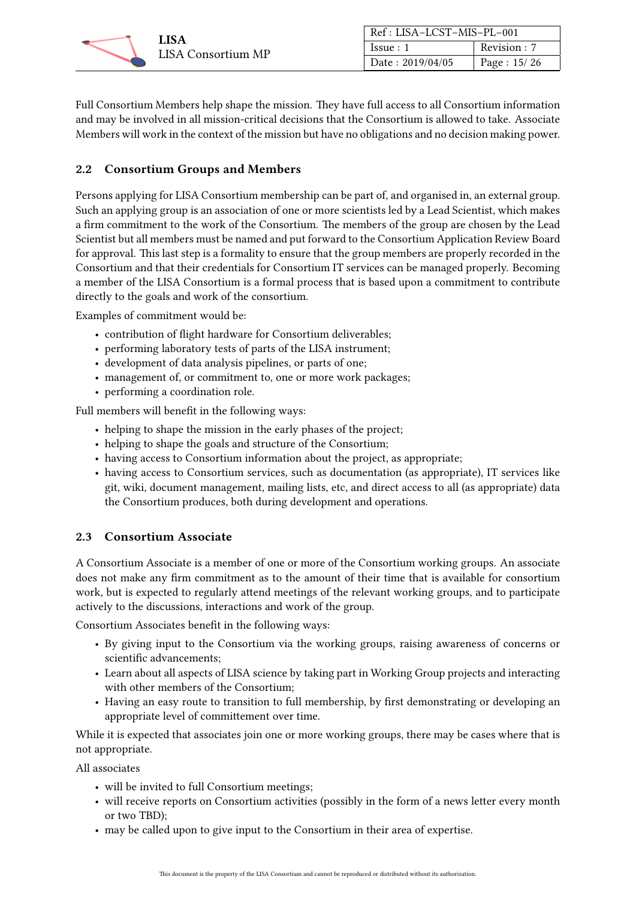

| Ref: LISA-LCST-MIS-PL-001 |             |
|---------------------------|-------------|
| Issue:1                   | Revision: 7 |
| Date: 2019/04/05          | Page: 15/26 |

Full Consortium Members help shape the mission. They have full access to all Consortium information and may be involved in all mission-critical decisions that the Consortium is allowed to take. Associate Members will work in the context of the mission but have no obligations and no decision making power.

#### <span id="page-14-0"></span>2.2 Consortium Groups and Members

Persons applying for LISA Consortium membership can be part of, and organised in, an external group. Such an applying group is an association of one or more scientists led by a Lead Scientist, which makes a firm commitment to the work of the Consortium. The members of the group are chosen by the Lead Scientist but all members must be named and put forward to the Consortium Application Review Board for approval. This last step is a formality to ensure that the group members are properly recorded in the Consortium and that their credentials for Consortium IT services can be managed properly. Becoming a member of the LISA Consortium is a formal process that is based upon a commitment to contribute directly to the goals and work of the consortium.

Examples of commitment would be:

- contribution of flight hardware for Consortium deliverables;
- performing laboratory tests of parts of the LISA instrument;
- development of data analysis pipelines, or parts of one;
- management of, or commitment to, one or more work packages;
- performing a coordination role.

Full members will benefit in the following ways:

- helping to shape the mission in the early phases of the project;
- helping to shape the goals and structure of the Consortium;
- having access to Consortium information about the project, as appropriate;
- having access to Consortium services, such as documentation (as appropriate), IT services like git, wiki, document management, mailing lists, etc, and direct access to all (as appropriate) data the Consortium produces, both during development and operations.

# <span id="page-14-1"></span>2.3 Consortium Associate

A Consortium Associate is a member of one or more of the Consortium working groups. An associate does not make any firm commitment as to the amount of their time that is available for consortium work, but is expected to regularly attend meetings of the relevant working groups, and to participate actively to the discussions, interactions and work of the group.

Consortium Associates benefit in the following ways:

- By giving input to the Consortium via the working groups, raising awareness of concerns or scientific advancements;
- Learn about all aspects of LISA science by taking part in Working Group projects and interacting with other members of the Consortium;
- Having an easy route to transition to full membership, by first demonstrating or developing an appropriate level of committement over time.

While it is expected that associates join one or more working groups, there may be cases where that is not appropriate.

All associates

- will be invited to full Consortium meetings;
- will receive reports on Consortium activities (possibly in the form of a news letter every month or two TBD);
- may be called upon to give input to the Consortium in their area of expertise.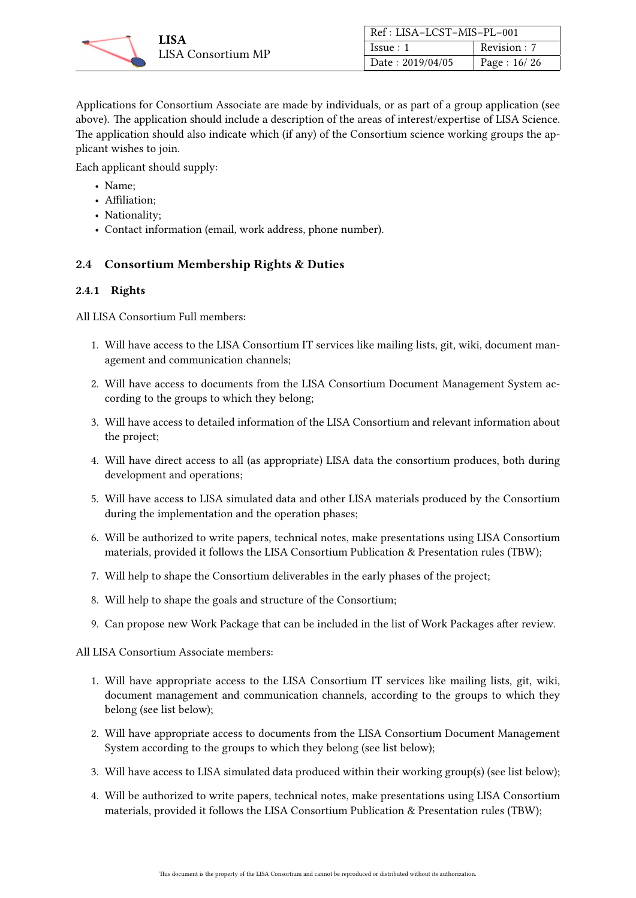

| Ref : LISA-LCST-MIS-PL-001 |             |
|----------------------------|-------------|
| Issue:1                    | Revision: 7 |
| Date: 2019/04/05           | Page: 16/26 |

Applications for Consortium Associate are made by individuals, or as part of a group application (see above). The application should include a description of the areas of interest/expertise of LISA Science. The application should also indicate which (if any) of the Consortium science working groups the applicant wishes to join.

Each applicant should supply:

- Name;
- Affiliation;
- Nationality;
- Contact information (email, work address, phone number).

# <span id="page-15-0"></span>2.4 Consortium Membership Rights & Duties

#### <span id="page-15-1"></span>2.4.1 Rights

All LISA Consortium Full members:

- 1. Will have access to the LISA Consortium IT services like mailing lists, git, wiki, document management and communication channels;
- 2. Will have access to documents from the LISA Consortium Document Management System according to the groups to which they belong;
- 3. Will have access to detailed information of the LISA Consortium and relevant information about the project;
- 4. Will have direct access to all (as appropriate) LISA data the consortium produces, both during development and operations;
- 5. Will have access to LISA simulated data and other LISA materials produced by the Consortium during the implementation and the operation phases;
- 6. Will be authorized to write papers, technical notes, make presentations using LISA Consortium materials, provided it follows the LISA Consortium Publication & Presentation rules (TBW);
- 7. Will help to shape the Consortium deliverables in the early phases of the project;
- 8. Will help to shape the goals and structure of the Consortium;
- 9. Can propose new Work Package that can be included in the list of Work Packages after review.

All LISA Consortium Associate members:

- 1. Will have appropriate access to the LISA Consortium IT services like mailing lists, git, wiki, document management and communication channels, according to the groups to which they belong (see list below);
- 2. Will have appropriate access to documents from the LISA Consortium Document Management System according to the groups to which they belong (see list below);
- 3. Will have access to LISA simulated data produced within their working group(s) (see list below);
- 4. Will be authorized to write papers, technical notes, make presentations using LISA Consortium materials, provided it follows the LISA Consortium Publication & Presentation rules (TBW);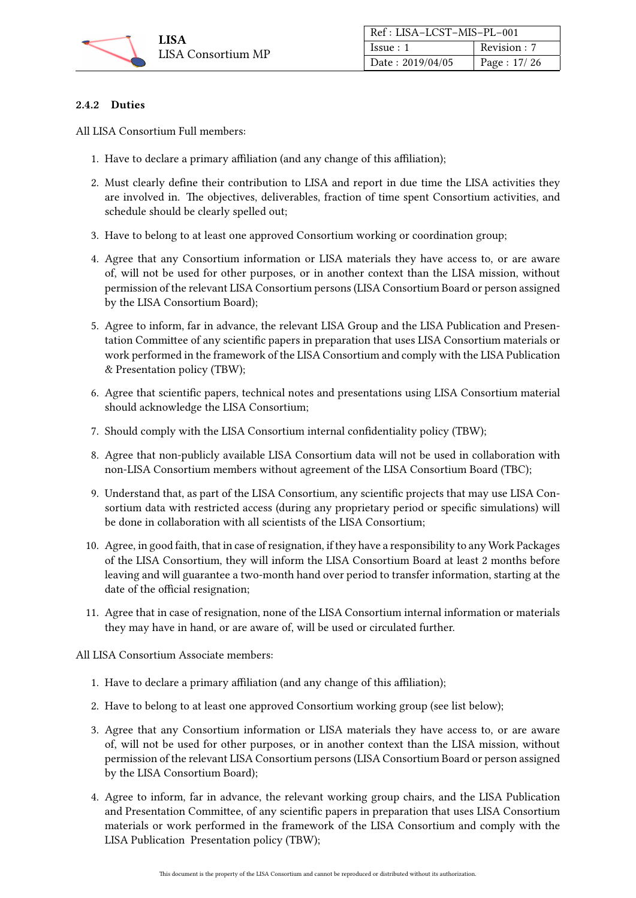

| Ref: LISA-LCST-MIS-PL-001 |             |
|---------------------------|-------------|
| Issue:1                   | Revision: 7 |
| Date: 2019/04/05          | Page: 17/26 |

#### <span id="page-16-0"></span>2.4.2 Duties

All LISA Consortium Full members:

- 1. Have to declare a primary affiliation (and any change of this affiliation);
- 2. Must clearly define their contribution to LISA and report in due time the LISA activities they are involved in. The objectives, deliverables, fraction of time spent Consortium activities, and schedule should be clearly spelled out;
- 3. Have to belong to at least one approved Consortium working or coordination group;
- 4. Agree that any Consortium information or LISA materials they have access to, or are aware of, will not be used for other purposes, or in another context than the LISA mission, without permission of the relevant LISA Consortium persons (LISA Consortium Board or person assigned by the LISA Consortium Board);
- 5. Agree to inform, far in advance, the relevant LISA Group and the LISA Publication and Presentation Committee of any scientific papers in preparation that uses LISA Consortium materials or work performed in the framework of the LISA Consortium and comply with the LISA Publication & Presentation policy (TBW);
- 6. Agree that scientific papers, technical notes and presentations using LISA Consortium material should acknowledge the LISA Consortium;
- 7. Should comply with the LISA Consortium internal confidentiality policy (TBW);
- 8. Agree that non-publicly available LISA Consortium data will not be used in collaboration with non-LISA Consortium members without agreement of the LISA Consortium Board (TBC);
- 9. Understand that, as part of the LISA Consortium, any scientific projects that may use LISA Consortium data with restricted access (during any proprietary period or specific simulations) will be done in collaboration with all scientists of the LISA Consortium;
- 10. Agree, in good faith, that in case of resignation, if they have a responsibility to any Work Packages of the LISA Consortium, they will inform the LISA Consortium Board at least 2 months before leaving and will guarantee a two-month hand over period to transfer information, starting at the date of the official resignation;
- 11. Agree that in case of resignation, none of the LISA Consortium internal information or materials they may have in hand, or are aware of, will be used or circulated further.

All LISA Consortium Associate members:

- 1. Have to declare a primary affiliation (and any change of this affiliation);
- 2. Have to belong to at least one approved Consortium working group (see list below);
- 3. Agree that any Consortium information or LISA materials they have access to, or are aware of, will not be used for other purposes, or in another context than the LISA mission, without permission of the relevant LISA Consortium persons (LISA Consortium Board or person assigned by the LISA Consortium Board);
- 4. Agree to inform, far in advance, the relevant working group chairs, and the LISA Publication and Presentation Committee, of any scientific papers in preparation that uses LISA Consortium materials or work performed in the framework of the LISA Consortium and comply with the LISA Publication Presentation policy (TBW);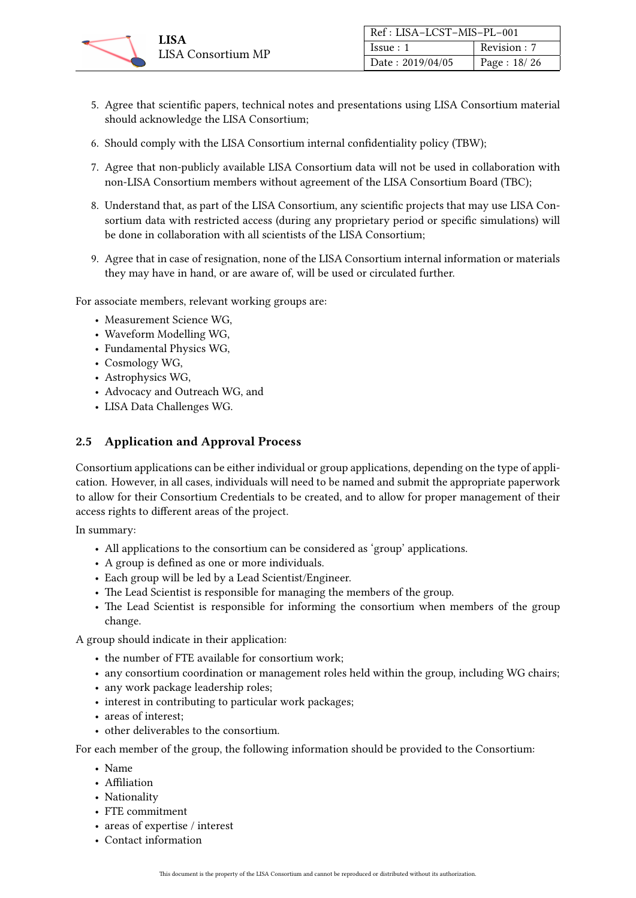

| Ref: LISA-LCST-MIS-PL-001 |             |
|---------------------------|-------------|
| Issue:1                   | Revision: 7 |
| Date: 2019/04/05          | Page: 18/26 |

- 5. Agree that scientific papers, technical notes and presentations using LISA Consortium material should acknowledge the LISA Consortium;
- 6. Should comply with the LISA Consortium internal confidentiality policy (TBW);
- 7. Agree that non-publicly available LISA Consortium data will not be used in collaboration with non-LISA Consortium members without agreement of the LISA Consortium Board (TBC);
- 8. Understand that, as part of the LISA Consortium, any scientific projects that may use LISA Consortium data with restricted access (during any proprietary period or specific simulations) will be done in collaboration with all scientists of the LISA Consortium;
- 9. Agree that in case of resignation, none of the LISA Consortium internal information or materials they may have in hand, or are aware of, will be used or circulated further.

For associate members, relevant working groups are:

- Measurement Science WG,
- Waveform Modelling WG,
- Fundamental Physics WG,
- Cosmology WG,
- Astrophysics WG,
- Advocacy and Outreach WG, and
- LISA Data Challenges WG.

#### <span id="page-17-0"></span>2.5 Application and Approval Process

Consortium applications can be either individual or group applications, depending on the type of application. However, in all cases, individuals will need to be named and submit the appropriate paperwork to allow for their Consortium Credentials to be created, and to allow for proper management of their access rights to different areas of the project.

In summary:

- All applications to the consortium can be considered as 'group' applications.
- A group is defined as one or more individuals.
- Each group will be led by a Lead Scientist/Engineer.
- The Lead Scientist is responsible for managing the members of the group.
- The Lead Scientist is responsible for informing the consortium when members of the group change.

A group should indicate in their application:

- the number of FTE available for consortium work;
- any consortium coordination or management roles held within the group, including WG chairs;
- any work package leadership roles;
- interest in contributing to particular work packages;
- areas of interest;
- other deliverables to the consortium.

For each member of the group, the following information should be provided to the Consortium:

- Name
- Affiliation
- Nationality
- FTE commitment
- areas of expertise / interest
- Contact information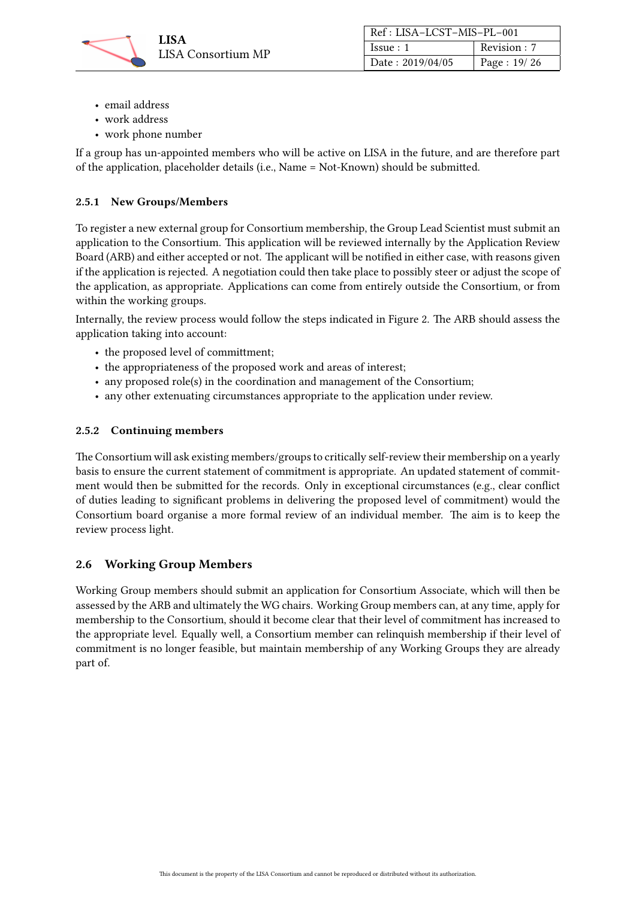

| Ref: LISA-LCST-MIS-PL-001 |              |
|---------------------------|--------------|
| Issue:1                   | Revision : 7 |
| Date: 2019/04/05          | Page: 19/26  |

- email address
- work address
- work phone number

If a group has un-appointed members who will be active on LISA in the future, and are therefore part of the application, placeholder details (i.e., Name = Not-Known) should be submitted.

#### <span id="page-18-0"></span>2.5.1 New Groups/Members

To register a new external group for Consortium membership, the Group Lead Scientist must submit an application to the Consortium. This application will be reviewed internally by the Application Review Board (ARB) and either accepted or not. The applicant will be notified in either case, with reasons given if the application is rejected. A negotiation could then take place to possibly steer or adjust the scope of the application, as appropriate. Applications can come from entirely outside the Consortium, or from within the working groups.

Internally, the review process would follow the steps indicated in Figure [2.](#page-19-0) The ARB should assess the application taking into account:

- the proposed level of committment;
- the appropriateness of the proposed work and areas of interest;
- any proposed role(s) in the coordination and management of the Consortium;
- any other extenuating circumstances appropriate to the application under review.

#### <span id="page-18-1"></span>2.5.2 Continuing members

The Consortium will ask existing members/groups to critically self-review their membership on a yearly basis to ensure the current statement of commitment is appropriate. An updated statement of commitment would then be submitted for the records. Only in exceptional circumstances (e.g., clear conflict of duties leading to significant problems in delivering the proposed level of commitment) would the Consortium board organise a more formal review of an individual member. The aim is to keep the review process light.

# <span id="page-18-2"></span>2.6 Working Group Members

Working Group members should submit an application for Consortium Associate, which will then be assessed by the ARB and ultimately the WG chairs. Working Group members can, at any time, apply for membership to the Consortium, should it become clear that their level of commitment has increased to the appropriate level. Equally well, a Consortium member can relinquish membership if their level of commitment is no longer feasible, but maintain membership of any Working Groups they are already part of.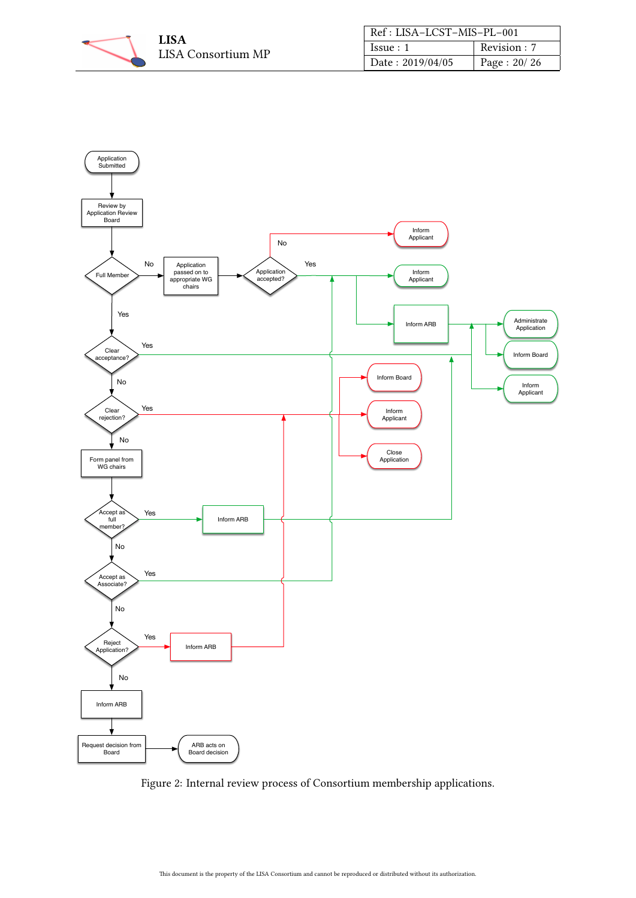

| Ref: LISA-LCST-MIS-PL-001 |              |
|---------------------------|--------------|
| Issue:1                   | Revision : 7 |
| Date: 2019/04/05          | Page: 20/26  |

<span id="page-19-0"></span>

Figure 2: Internal review process of Consortium membership applications.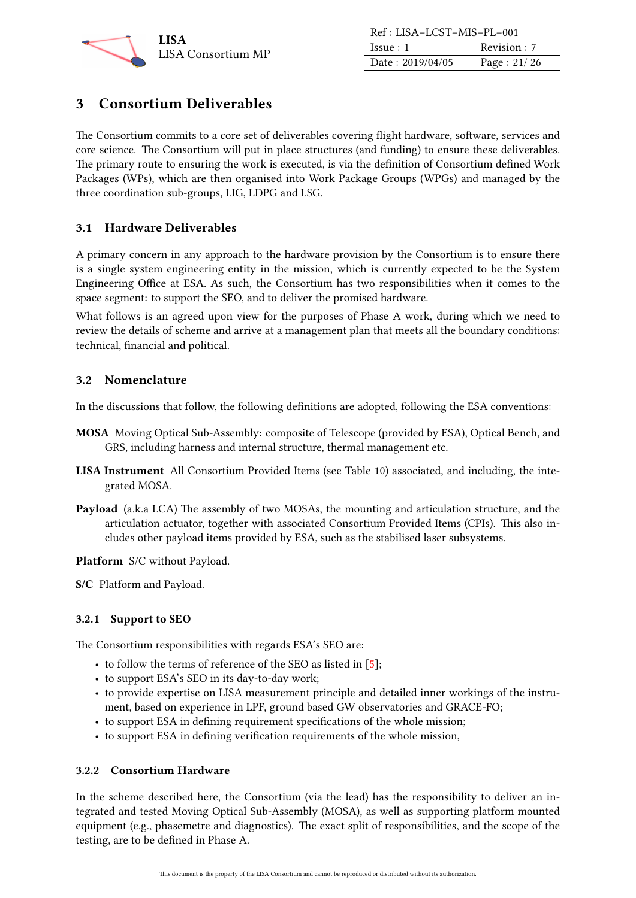

| Ref: LISA-LCST-MIS-PL-001 |             |
|---------------------------|-------------|
| Issue:1                   | Revision: 7 |
| Date: 2019/04/05          | Page: 21/26 |

# <span id="page-20-0"></span>3 Consortium Deliverables

The Consortium commits to a core set of deliverables covering flight hardware, software, services and core science. The Consortium will put in place structures (and funding) to ensure these deliverables. The primary route to ensuring the work is executed, is via the definition of Consortium defined Work Packages (WPs), which are then organised into Work Package Groups (WPGs) and managed by the three coordination sub-groups, LIG, LDPG and LSG.

# <span id="page-20-1"></span>3.1 Hardware Deliverables

A primary concern in any approach to the hardware provision by the Consortium is to ensure there is a single system engineering entity in the mission, which is currently expected to be the System Engineering Office at ESA. As such, the Consortium has two responsibilities when it comes to the space segment: to support the SEO, and to deliver the promised hardware.

What follows is an agreed upon view for the purposes of Phase A work, during which we need to review the details of scheme and arrive at a management plan that meets all the boundary conditions: technical, financial and political.

# <span id="page-20-2"></span>3.2 Nomenclature

In the discussions that follow, the following definitions are adopted, following the ESA conventions:

- MOSA Moving Optical Sub-Assembly: composite of Telescope (provided by ESA), Optical Bench, and GRS, including harness and internal structure, thermal management etc.
- LISA Instrument All Consortium Provided Items (see Table [10\)](#page-22-0) associated, and including, the integrated MOSA.
- Payload (a.k.a LCA) The assembly of two MOSAs, the mounting and articulation structure, and the articulation actuator, together with associated Consortium Provided Items (CPIs). This also includes other payload items provided by ESA, such as the stabilised laser subsystems.

Platform S/C without Payload.

S/C Platform and Payload.

#### <span id="page-20-3"></span>3.2.1 Support to SEO

The Consortium responsibilities with regards ESA's SEO are:

- to follow the terms of reference of the SEO as listed in [\[5\]](#page-25-6);
- to support ESA's SEO in its day-to-day work;
- to provide expertise on LISA measurement principle and detailed inner workings of the instrument, based on experience in LPF, ground based GW observatories and GRACE-FO;
- to support ESA in defining requirement specifications of the whole mission;
- to support ESA in defining verification requirements of the whole mission,

#### <span id="page-20-4"></span>3.2.2 Consortium Hardware

In the scheme described here, the Consortium (via the lead) has the responsibility to deliver an integrated and tested Moving Optical Sub-Assembly (MOSA), as well as supporting platform mounted equipment (e.g., phasemetre and diagnostics). The exact split of responsibilities, and the scope of the testing, are to be defined in Phase A.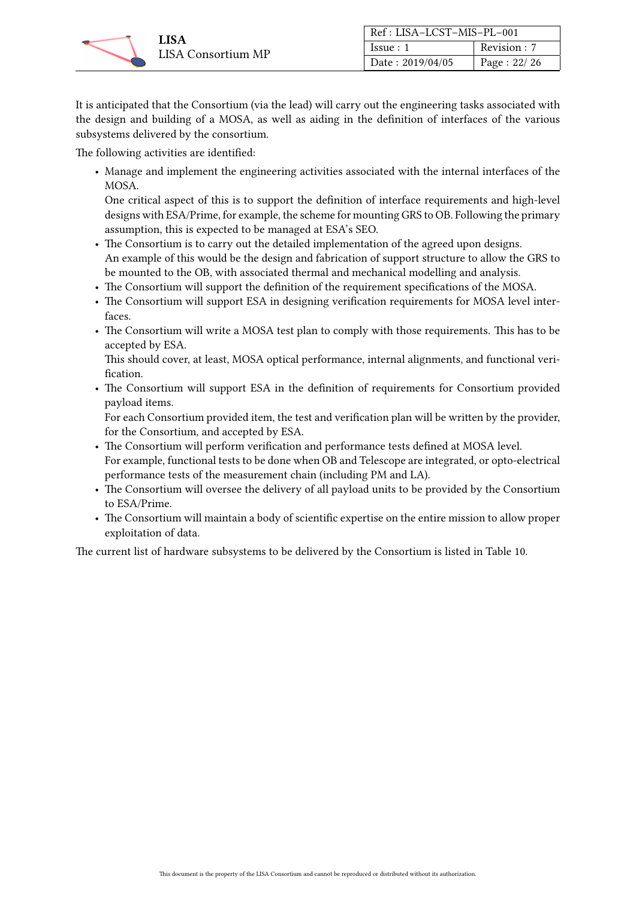

| Ref: LISA-LCST-MIS-PL-001 |             |
|---------------------------|-------------|
| Issue:1                   | Revision: 7 |
| Date: 2019/04/05          | Page: 22/26 |

It is anticipated that the Consortium (via the lead) will carry out the engineering tasks associated with the design and building of a MOSA, as well as aiding in the definition of interfaces of the various subsystems delivered by the consortium.

The following activities are identified:

• Manage and implement the engineering activities associated with the internal interfaces of the MOSA.

One critical aspect of this is to support the definition of interface requirements and high-level designs with ESA/Prime, for example, the scheme for mounting GRS to OB. Following the primary assumption, this is expected to be managed at ESA's SEO.

- The Consortium is to carry out the detailed implementation of the agreed upon designs. An example of this would be the design and fabrication of support structure to allow the GRS to be mounted to the OB, with associated thermal and mechanical modelling and analysis.
- The Consortium will support the definition of the requirement specifications of the MOSA.
- The Consortium will support ESA in designing verification requirements for MOSA level interfaces.
- The Consortium will write a MOSA test plan to comply with those requirements. This has to be accepted by ESA.

This should cover, at least, MOSA optical performance, internal alignments, and functional verification.

• The Consortium will support ESA in the definition of requirements for Consortium provided payload items.

For each Consortium provided item, the test and verification plan will be written by the provider, for the Consortium, and accepted by ESA.

- The Consortium will perform verification and performance tests defined at MOSA level. For example, functional tests to be done when OB and Telescope are integrated, or opto-electrical performance tests of the measurement chain (including PM and LA).
- The Consortium will oversee the delivery of all payload units to be provided by the Consortium to ESA/Prime.
- The Consortium will maintain a body of scientific expertise on the entire mission to allow proper exploitation of data.

The current list of hardware subsystems to be delivered by the Consortium is listed in Table [10.](#page-22-0)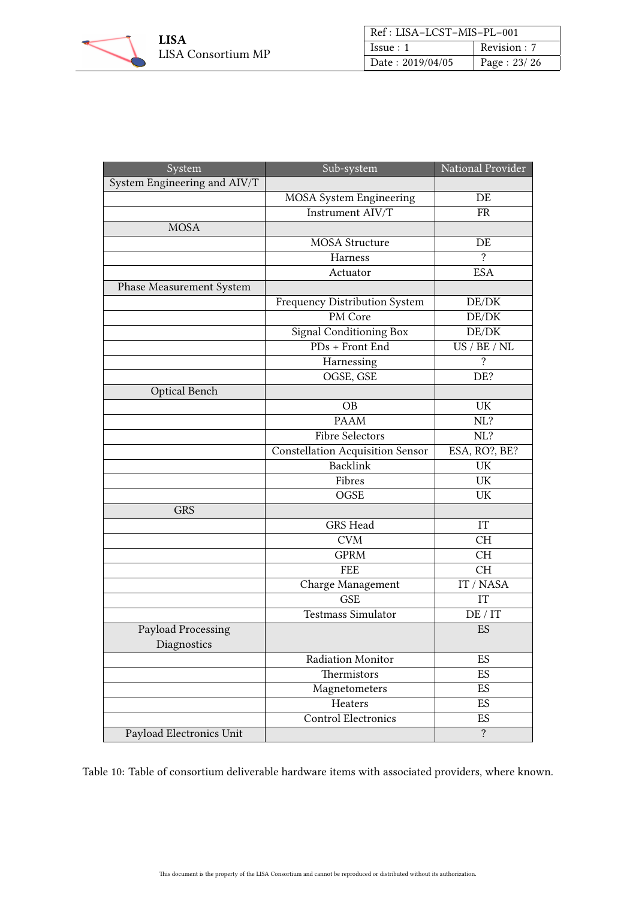

| Ref: LISA-LCST-MIS-PL-001 |              |
|---------------------------|--------------|
| Issue:1                   | Revision : 7 |
| Date: 2019/04/05          | Page: 23/26  |

<span id="page-22-0"></span>

| System                          | Sub-system                              | National Provider |
|---------------------------------|-----------------------------------------|-------------------|
| System Engineering and AIV/T    |                                         |                   |
|                                 | MOSA System Engineering                 | DE                |
|                                 | Instrument AIV/T                        | <b>FR</b>         |
| <b>MOSA</b>                     |                                         |                   |
|                                 | <b>MOSA</b> Structure                   | DE                |
|                                 | Harness                                 | ?                 |
|                                 | Actuator                                | <b>ESA</b>        |
| <b>Phase Measurement System</b> |                                         |                   |
|                                 | Frequency Distribution System           | DE/DK             |
|                                 | PM Core                                 | DE/DK             |
|                                 | <b>Signal Conditioning Box</b>          | DE/DK             |
|                                 | PDs + Front End                         | US / BE / NL      |
|                                 | Harnessing                              | $\gamma$          |
|                                 | OGSE, GSE                               | DE?               |
| <b>Optical Bench</b>            |                                         |                   |
|                                 | <b>OB</b>                               | UK                |
|                                 | <b>PAAM</b>                             | NL?               |
|                                 | <b>Fibre Selectors</b>                  | NL?               |
|                                 | <b>Constellation Acquisition Sensor</b> | ESA, RO?, BE?     |
|                                 | <b>Backlink</b>                         | UK                |
|                                 | Fibres                                  | UK                |
|                                 | OGSE                                    | UK                |
| <b>GRS</b>                      |                                         |                   |
|                                 | <b>GRS</b> Head                         | IT                |
|                                 | <b>CVM</b>                              | <b>CH</b>         |
|                                 | <b>GPRM</b>                             | <b>CH</b>         |
|                                 | <b>FEE</b>                              | <b>CH</b>         |
|                                 | Charge Management                       | IT / NASA         |
|                                 | <b>GSE</b>                              | IT                |
|                                 | <b>Testmass Simulator</b>               | DE / IT           |
| Payload Processing              |                                         | ES                |
| Diagnostics                     |                                         |                   |
|                                 | Radiation Monitor                       | ES                |
|                                 | Thermistors                             | ES                |
|                                 | Magnetometers                           | <b>ES</b>         |
|                                 | Heaters                                 | ES                |
|                                 | <b>Control Electronics</b>              | ES                |
| Payload Electronics Unit        |                                         | $\overline{?}$    |

Table 10: Table of consortium deliverable hardware items with associated providers, where known.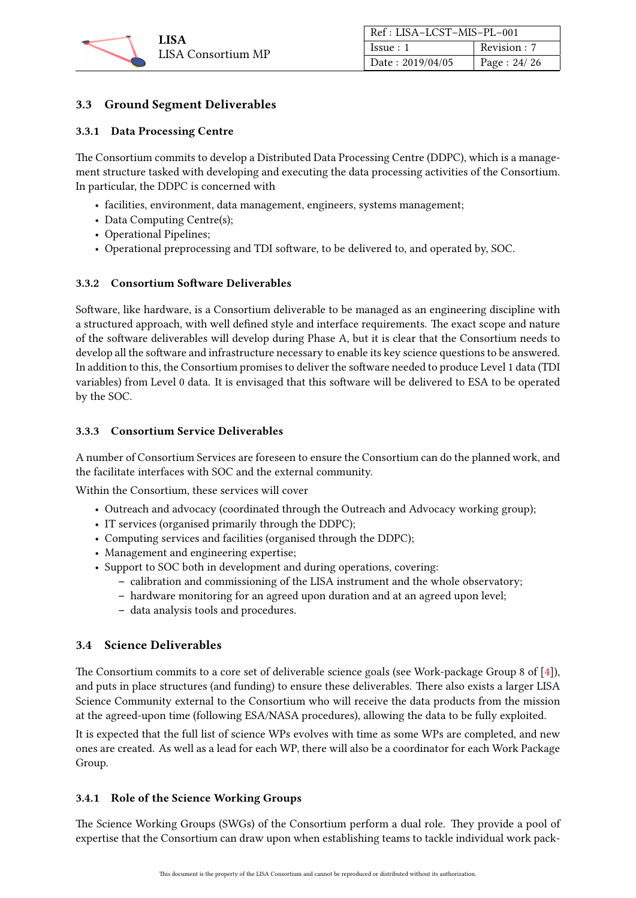

| Ref: LISA-LCST-MIS-PL-001 |               |
|---------------------------|---------------|
| Is sue: 1                 | Revision : 7  |
| Date: 2019/04/05          | Page: $24/26$ |

# <span id="page-23-0"></span>3.3 Ground Segment Deliverables

#### <span id="page-23-1"></span>3.3.1 Data Processing Centre

The Consortium commits to develop a Distributed Data Processing Centre (DDPC), which is a management structure tasked with developing and executing the data processing activities of the Consortium. In particular, the DDPC is concerned with

- facilities, environment, data management, engineers, systems management;
- Data Computing Centre(s);
- Operational Pipelines;
- Operational preprocessing and TDI software, to be delivered to, and operated by, SOC.

#### <span id="page-23-2"></span>3.3.2 Consortium Software Deliverables

Software, like hardware, is a Consortium deliverable to be managed as an engineering discipline with a structured approach, with well defined style and interface requirements. The exact scope and nature of the software deliverables will develop during Phase A, but it is clear that the Consortium needs to develop all the software and infrastructure necessary to enable its key science questions to be answered. In addition to this, the Consortium promises to deliver the software needed to produce Level 1 data (TDI variables) from Level 0 data. It is envisaged that this software will be delivered to ESA to be operated by the SOC.

#### <span id="page-23-3"></span>3.3.3 Consortium Service Deliverables

A number of Consortium Services are foreseen to ensure the Consortium can do the planned work, and the facilitate interfaces with SOC and the external community.

Within the Consortium, these services will cover

- Outreach and advocacy (coordinated through the Outreach and Advocacy working group);
- IT services (organised primarily through the DDPC);
- Computing services and facilities (organised through the DDPC);
- Management and engineering expertise;
- Support to SOC both in development and during operations, covering:
	- calibration and commissioning of the LISA instrument and the whole observatory;
	- hardware monitoring for an agreed upon duration and at an agreed upon level;
	- data analysis tools and procedures.

#### <span id="page-23-4"></span>3.4 Science Deliverables

The Consortium commits to a core set of deliverable science goals (see Work-package Group 8 of [\[4\]](#page-25-8)), and puts in place structures (and funding) to ensure these deliverables. There also exists a larger LISA Science Community external to the Consortium who will receive the data products from the mission at the agreed-upon time (following ESA/NASA procedures), allowing the data to be fully exploited.

It is expected that the full list of science WPs evolves with time as some WPs are completed, and new ones are created. As well as a lead for each WP, there will also be a coordinator for each Work Package Group.

# <span id="page-23-5"></span>3.4.1 Role of the Science Working Groups

The Science Working Groups (SWGs) of the Consortium perform a dual role. They provide a pool of expertise that the Consortium can draw upon when establishing teams to tackle individual work pack-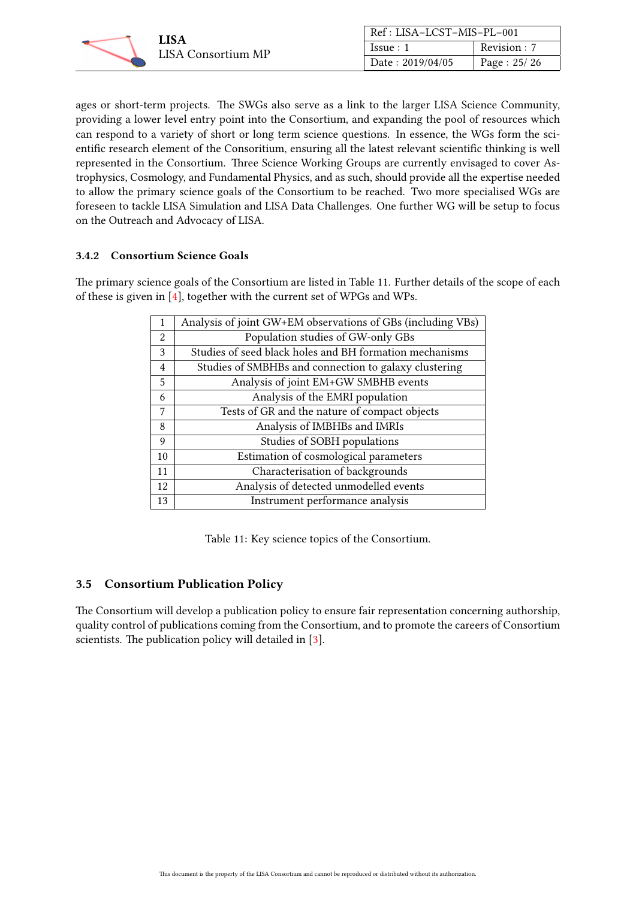

| Ref: LISA-LCST-MIS-PL-001 |               |
|---------------------------|---------------|
| Issue:1                   | Revision: 7   |
| Date: 2019/04/05          | Page: $25/26$ |

ages or short-term projects. The SWGs also serve as a link to the larger LISA Science Community, providing a lower level entry point into the Consortium, and expanding the pool of resources which can respond to a variety of short or long term science questions. In essence, the WGs form the scientific research element of the Consoritium, ensuring all the latest relevant scientific thinking is well represented in the Consortium. Three Science Working Groups are currently envisaged to cover Astrophysics, Cosmology, and Fundamental Physics, and as such, should provide all the expertise needed to allow the primary science goals of the Consortium to be reached. Two more specialised WGs are foreseen to tackle LISA Simulation and LISA Data Challenges. One further WG will be setup to focus on the Outreach and Advocacy of LISA.

#### <span id="page-24-0"></span>3.4.2 Consortium Science Goals

<span id="page-24-2"></span>The primary science goals of the Consortium are listed in Table [11.](#page-24-2) Further details of the scope of each of these is given in [\[4\]](#page-25-8), together with the current set of WPGs and WPs.

| 1             | Analysis of joint GW+EM observations of GBs (including VBs) |
|---------------|-------------------------------------------------------------|
| $\mathcal{L}$ | Population studies of GW-only GBs                           |
| 3             | Studies of seed black holes and BH formation mechanisms     |
| 4             | Studies of SMBHBs and connection to galaxy clustering       |
| 5             | Analysis of joint EM+GW SMBHB events                        |
| 6             | Analysis of the EMRI population                             |
| 7             | Tests of GR and the nature of compact objects               |
| 8             | Analysis of IMBHBs and IMRIs                                |
| 9             | Studies of SOBH populations                                 |
| 10            | Estimation of cosmological parameters                       |
| 11            | Characterisation of backgrounds                             |
| 12            | Analysis of detected unmodelled events                      |
| 13            | Instrument performance analysis                             |

Table 11: Key science topics of the Consortium.

# <span id="page-24-1"></span>3.5 Consortium Publication Policy

The Consortium will develop a publication policy to ensure fair representation concerning authorship, quality control of publications coming from the Consortium, and to promote the careers of Consortium scientists. The publication policy will detailed in [\[3\]](#page-25-9).